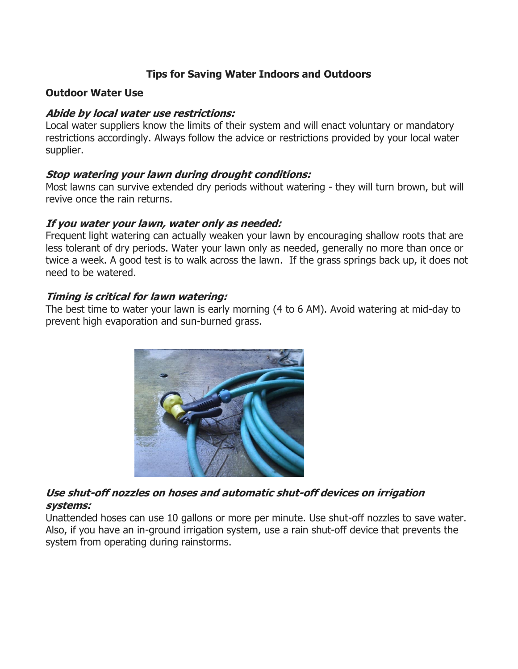# **Tips for Saving Water Indoors and Outdoors**

### **Outdoor Water Use**

### **Abide by local water use restrictions:**

Local water suppliers know the limits of their system and will enact voluntary or mandatory restrictions accordingly. Always follow the advice or restrictions provided by your local water supplier.

## **Stop watering your lawn during drought conditions:**

Most lawns can survive extended dry periods without watering - they will turn brown, but will revive once the rain returns.

#### **If you water your lawn, water only as needed:**

Frequent light watering can actually weaken your lawn by encouraging shallow roots that are less tolerant of dry periods. Water your lawn only as needed, generally no more than once or twice a week. A good test is to walk across the lawn. If the grass springs back up, it does not need to be watered.

### **Timing is critical for lawn watering:**

The best time to water your lawn is early morning (4 to 6 AM). Avoid watering at mid-day to prevent high evaporation and sun-burned grass.



# **Use shut-off nozzles on hoses and automatic shut-off devices on irrigation systems:**

Unattended hoses can use 10 gallons or more per minute. Use shut-off nozzles to save water. Also, if you have an in-ground irrigation system, use a rain shut-off device that prevents the system from operating during rainstorms.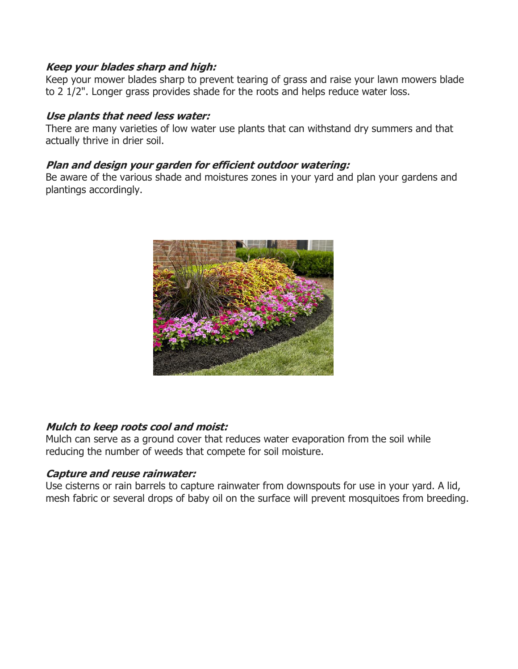### **Keep your blades sharp and high:**

Keep your mower blades sharp to prevent tearing of grass and raise your lawn mowers blade to 2 1/2". Longer grass provides shade for the roots and helps reduce water loss.

### **Use plants that need less water:**

There are many varieties of low water use plants that can withstand dry summers and that actually thrive in drier soil.

### **Plan and design your garden for efficient outdoor watering:**

Be aware of the various shade and moistures zones in your yard and plan your gardens and plantings accordingly.



## **Mulch to keep roots cool and moist:**

Mulch can serve as a ground cover that reduces water evaporation from the soil while reducing the number of weeds that compete for soil moisture.

## **Capture and reuse rainwater:**

Use cisterns or rain barrels to capture rainwater from downspouts for use in your yard. A lid, mesh fabric or several drops of baby oil on the surface will prevent mosquitoes from breeding.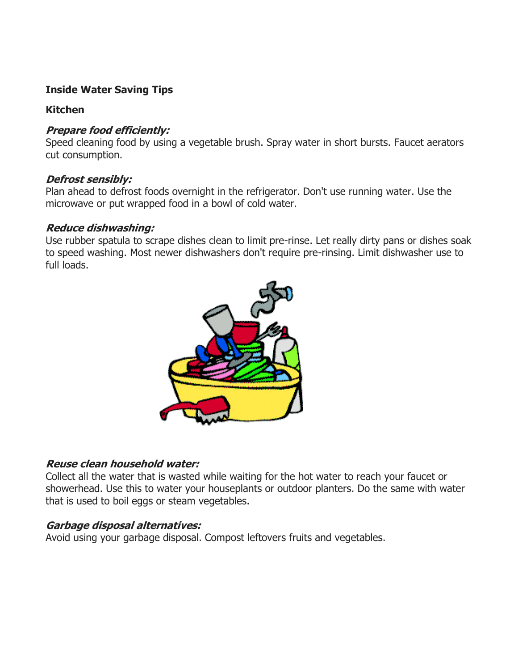# **Inside Water Saving Tips**

## **Kitchen**

# **Prepare food efficiently:**

Speed cleaning food by using a vegetable brush. Spray water in short bursts. Faucet aerators cut consumption.

## **Defrost sensibly:**

Plan ahead to defrost foods overnight in the refrigerator. Don't use running water. Use the microwave or put wrapped food in a bowl of cold water.

## **Reduce dishwashing:**

Use rubber spatula to scrape dishes clean to limit pre-rinse. Let really dirty pans or dishes soak to speed washing. Most newer dishwashers don't require pre-rinsing. Limit dishwasher use to full loads.



# **Reuse clean household water:**

Collect all the water that is wasted while waiting for the hot water to reach your faucet or showerhead. Use this to water your houseplants or outdoor planters. Do the same with water that is used to boil eggs or steam vegetables.

# **Garbage disposal alternatives:**

Avoid using your garbage disposal. Compost leftovers fruits and vegetables.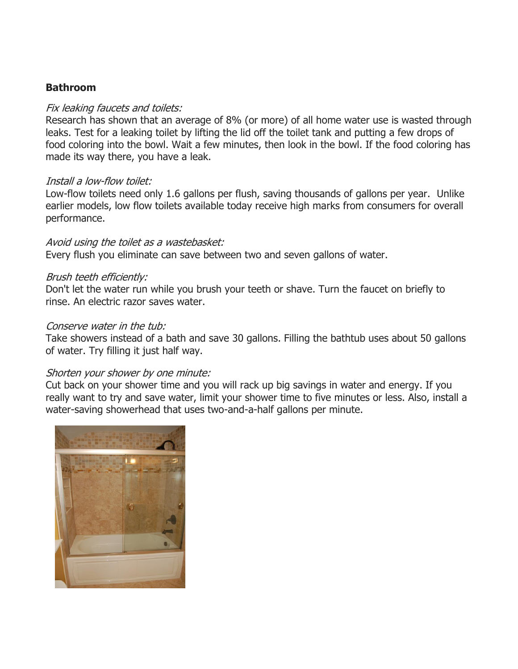### **Bathroom**

#### Fix leaking faucets and toilets:

Research has shown that an average of 8% (or more) of all home water use is wasted through leaks. Test for a leaking toilet by lifting the lid off the toilet tank and putting a few drops of food coloring into the bowl. Wait a few minutes, then look in the bowl. If the food coloring has made its way there, you have a leak.

#### Install a low-flow toilet:

Low-flow toilets need only 1.6 gallons per flush, saving thousands of gallons per year. Unlike earlier models, low flow toilets available today receive high marks from consumers for overall performance.

#### Avoid using the toilet as a wastebasket:

Every flush you eliminate can save between two and seven gallons of water.

#### Brush teeth efficiently:

Don't let the water run while you brush your teeth or shave. Turn the faucet on briefly to rinse. An electric razor saves water.

#### Conserve water in the tub:

Take showers instead of a bath and save 30 gallons. Filling the bathtub uses about 50 gallons of water. Try filling it just half way.

#### Shorten your shower by one minute:

Cut back on your shower time and you will rack up big savings in water and energy. If you really want to try and save water, limit your shower time to five minutes or less. Also, install a water-saving showerhead that uses two-and-a-half gallons per minute.

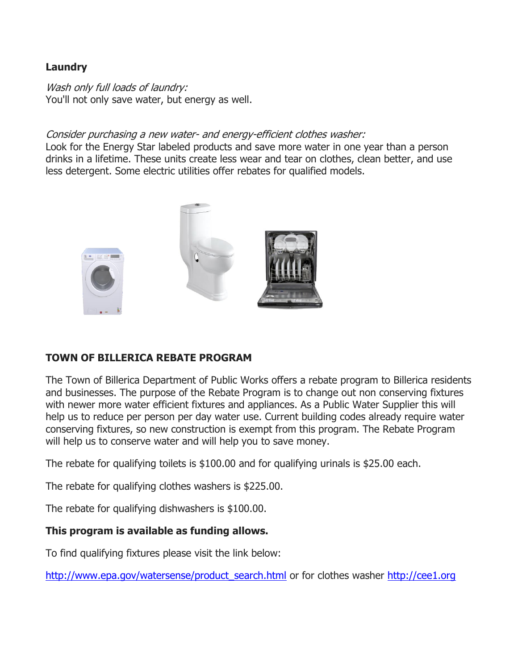## **Laundry**

Wash only full loads of laundry: You'll not only save water, but energy as well.

## Consider purchasing a new water- and energy-efficient clothes washer:

Look for the Energy Star labeled products and save more water in one year than a person drinks in a lifetime. These units create less wear and tear on clothes, clean better, and use less detergent. Some electric utilities offer rebates for qualified models.



# **TOWN OF BILLERICA REBATE PROGRAM**

The Town of Billerica Department of Public Works offers a rebate program to Billerica residents and businesses. The purpose of the Rebate Program is to change out non conserving fixtures with newer more water efficient fixtures and appliances. As a Public Water Supplier this will help us to reduce per person per day water use. Current building codes already require water conserving fixtures, so new construction is exempt from this program. The Rebate Program will help us to conserve water and will help you to save money.

The rebate for qualifying toilets is \$100.00 and for qualifying urinals is \$25.00 each.

The rebate for qualifying clothes washers is \$225.00.

The rebate for qualifying dishwashers is \$100.00.

## **This program is available as funding allows.**

To find qualifying fixtures please visit the link below:

[http://www.epa.gov/watersense/product\\_search.html](http://www.epa.gov/watersense/product_search.html) or for clothes washer [http://cee1.org](http://cee1.org/)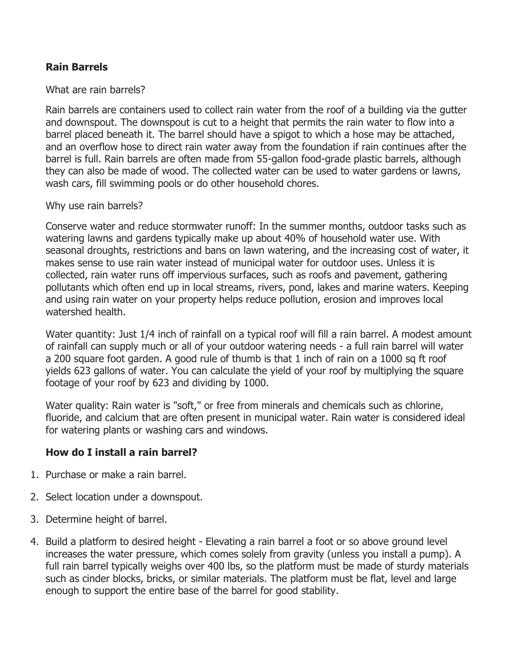## **Rain Barrels**

What are rain barrels?

Rain barrels are containers used to collect rain water from the roof of a building via the gutter and downspout. The downspout is cut to a height that permits the rain water to flow into a barrel placed beneath it. The barrel should have a spigot to which a hose may be attached, and an overflow hose to direct rain water away from the foundation if rain continues after the barrel is full. Rain barrels are often made from 55-gallon food-grade plastic barrels, although they can also be made of wood. The collected water can be used to water gardens or lawns, wash cars, fill swimming pools or do other household chores.

Why use rain barrels?

Conserve water and reduce stormwater runoff: In the summer months, outdoor tasks such as watering lawns and gardens typically make up about 40% of household water use. With seasonal droughts, restrictions and bans on lawn watering, and the increasing cost of water, it makes sense to use rain water instead of municipal water for outdoor uses. Unless it is collected, rain water runs off impervious surfaces, such as roofs and pavement, gathering pollutants which often end up in local streams, rivers, pond, lakes and marine waters. Keeping and using rain water on your property helps reduce pollution, erosion and improves local watershed health.

Water quantity: Just 1/4 inch of rainfall on a typical roof will fill a rain barrel. A modest amount of rainfall can supply much or all of your outdoor watering needs - a full rain barrel will water a 200 square foot garden. A good rule of thumb is that 1 inch of rain on a 1000 sq ft roof yields 623 gallons of water. You can calculate the yield of your roof by multiplying the square footage of your roof by 623 and dividing by 1000.

Water quality: Rain water is "soft," or free from minerals and chemicals such as chlorine, fluoride, and calcium that are often present in municipal water. Rain water is considered ideal for watering plants or washing cars and windows.

## **How do I install a rain barrel?**

- 1. Purchase or make a rain barrel.
- 2. Select location under a downspout.
- 3. Determine height of barrel.
- 4. Build a platform to desired height Elevating a rain barrel a foot or so above ground level increases the water pressure, which comes solely from gravity (unless you install a pump). A full rain barrel typically weighs over 400 lbs, so the platform must be made of sturdy materials such as cinder blocks, bricks, or similar materials. The platform must be flat, level and large enough to support the entire base of the barrel for good stability.